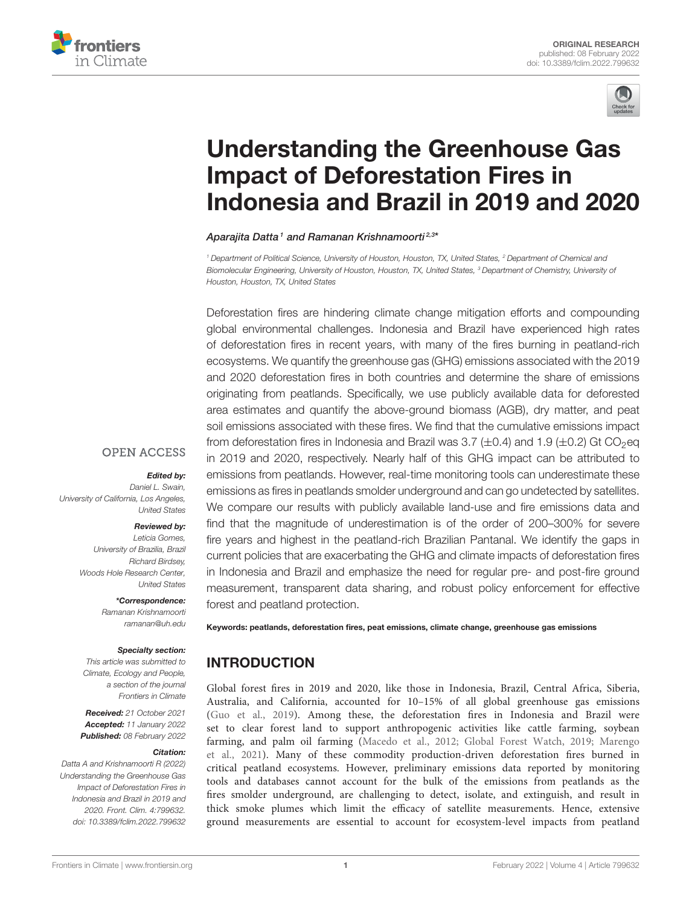



# [Understanding the Greenhouse Gas](https://www.frontiersin.org/articles/10.3389/fclim.2022.799632/full) Impact of Deforestation Fires in Indonesia and Brazil in 2019 and 2020

Aparajita Datta <sup>1</sup> and Ramanan Krishnamoorti<sup>2,3</sup>\*

*<sup>1</sup> Department of Political Science, University of Houston, Houston, TX, United States, <sup>2</sup> Department of Chemical and Biomolecular Engineering, University of Houston, Houston, TX, United States, <sup>3</sup> Department of Chemistry, University of Houston, Houston, TX, United States*

Deforestation fires are hindering climate change mitigation efforts and compounding global environmental challenges. Indonesia and Brazil have experienced high rates of deforestation fires in recent years, with many of the fires burning in peatland-rich ecosystems. We quantify the greenhouse gas (GHG) emissions associated with the 2019 and 2020 deforestation fires in both countries and determine the share of emissions originating from peatlands. Specifically, we use publicly available data for deforested area estimates and quantify the above-ground biomass (AGB), dry matter, and peat soil emissions associated with these fires. We find that the cumulative emissions impact from deforestation fires in Indonesia and Brazil was 3.7 ( $\pm$ 0.4) and 1.9 ( $\pm$ 0.2) Gt CO<sub>2</sub>eq in 2019 and 2020, respectively. Nearly half of this GHG impact can be attributed to emissions from peatlands. However, real-time monitoring tools can underestimate these emissions as fires in peatlands smolder underground and can go undetected by satellites. We compare our results with publicly available land-use and fire emissions data and find that the magnitude of underestimation is of the order of 200–300% for severe fire years and highest in the peatland-rich Brazilian Pantanal. We identify the gaps in current policies that are exacerbating the GHG and climate impacts of deforestation fires in Indonesia and Brazil and emphasize the need for regular pre- and post-fire ground measurement, transparent data sharing, and robust policy enforcement for effective forest and peatland protection.

Edited by:

**OPEN ACCESS** 

*Daniel L. Swain, University of California, Los Angeles, United States*

#### Reviewed by:

*Leticia Gomes, University of Brazilia, Brazil Richard Birdsey, Woods Hole Research Center, United States*

> \*Correspondence: *Ramanan Krishnamoorti [ramanan@uh.edu](mailto:ramanan@uh.edu)*

#### Specialty section:

*This article was submitted to Climate, Ecology and People, a section of the journal Frontiers in Climate*

Received: *21 October 2021* Accepted: *11 January 2022* Published: *08 February 2022*

#### Citation:

*Datta A and Krishnamoorti R (2022) Understanding the Greenhouse Gas Impact of Deforestation Fires in Indonesia and Brazil in 2019 and 2020. Front. Clim. 4:799632. doi: [10.3389/fclim.2022.799632](https://doi.org/10.3389/fclim.2022.799632)* Keywords: peatlands, deforestation fires, peat emissions, climate change, greenhouse gas emissions

## INTRODUCTION

Global forest fires in 2019 and 2020, like those in Indonesia, Brazil, Central Africa, Siberia, Australia, and California, accounted for 10–15% of all global greenhouse gas emissions [\(Guo et al., 2019\)](#page-7-0). Among these, the deforestation fires in Indonesia and Brazil were set to clear forest land to support anthropogenic activities like cattle farming, soybean farming, and palm oil farming [\(Macedo et al., 2012;](#page-7-1) [Global Forest Watch, 2019;](#page-6-0) Marengo et al., [2021\)](#page-7-2). Many of these commodity production-driven deforestation fires burned in critical peatland ecosystems. However, preliminary emissions data reported by monitoring tools and databases cannot account for the bulk of the emissions from peatlands as the fires smolder underground, are challenging to detect, isolate, and extinguish, and result in thick smoke plumes which limit the efficacy of satellite measurements. Hence, extensive ground measurements are essential to account for ecosystem-level impacts from peatland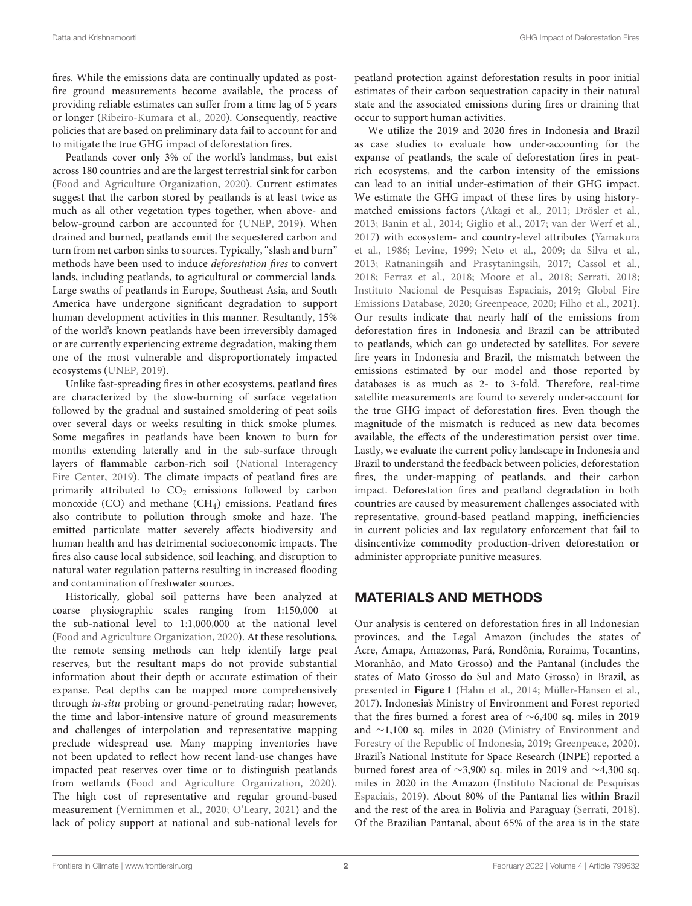fires. While the emissions data are continually updated as postfire ground measurements become available, the process of providing reliable estimates can suffer from a time lag of 5 years or longer [\(Ribeiro-Kumara et al., 2020\)](#page-7-3). Consequently, reactive policies that are based on preliminary data fail to account for and to mitigate the true GHG impact of deforestation fires.

Peatlands cover only 3% of the world's landmass, but exist across 180 countries and are the largest terrestrial sink for carbon [\(Food and Agriculture Organization, 2020\)](#page-6-1). Current estimates suggest that the carbon stored by peatlands is at least twice as much as all other vegetation types together, when above- and below-ground carbon are accounted for [\(UNEP, 2019\)](#page-7-4). When drained and burned, peatlands emit the sequestered carbon and turn from net carbon sinks to sources. Typically, "slash and burn" methods have been used to induce deforestation fires to convert lands, including peatlands, to agricultural or commercial lands. Large swaths of peatlands in Europe, Southeast Asia, and South America have undergone significant degradation to support human development activities in this manner. Resultantly, 15% of the world's known peatlands have been irreversibly damaged or are currently experiencing extreme degradation, making them one of the most vulnerable and disproportionately impacted ecosystems [\(UNEP, 2019\)](#page-7-4).

Unlike fast-spreading fires in other ecosystems, peatland fires are characterized by the slow-burning of surface vegetation followed by the gradual and sustained smoldering of peat soils over several days or weeks resulting in thick smoke plumes. Some megafires in peatlands have been known to burn for months extending laterally and in the sub-surface through layers of flammable carbon-rich soil (National Interagency Fire Center, [2019\)](#page-7-5). The climate impacts of peatland fires are primarily attributed to  $CO<sub>2</sub>$  emissions followed by carbon monoxide (CO) and methane (CH4) emissions. Peatland fires also contribute to pollution through smoke and haze. The emitted particulate matter severely affects biodiversity and human health and has detrimental socioeconomic impacts. The fires also cause local subsidence, soil leaching, and disruption to natural water regulation patterns resulting in increased flooding and contamination of freshwater sources.

Historically, global soil patterns have been analyzed at coarse physiographic scales ranging from 1:150,000 at the sub-national level to 1:1,000,000 at the national level [\(Food and Agriculture Organization, 2020\)](#page-6-1). At these resolutions, the remote sensing methods can help identify large peat reserves, but the resultant maps do not provide substantial information about their depth or accurate estimation of their expanse. Peat depths can be mapped more comprehensively through in-situ probing or ground-penetrating radar; however, the time and labor-intensive nature of ground measurements and challenges of interpolation and representative mapping preclude widespread use. Many mapping inventories have not been updated to reflect how recent land-use changes have impacted peat reserves over time or to distinguish peatlands from wetlands [\(Food and Agriculture Organization, 2020\)](#page-6-1). The high cost of representative and regular ground-based measurement [\(Vernimmen et al., 2020;](#page-7-6) [O'Leary, 2021\)](#page-7-7) and the lack of policy support at national and sub-national levels for peatland protection against deforestation results in poor initial estimates of their carbon sequestration capacity in their natural state and the associated emissions during fires or draining that occur to support human activities.

We utilize the 2019 and 2020 fires in Indonesia and Brazil as case studies to evaluate how under-accounting for the expanse of peatlands, the scale of deforestation fires in peatrich ecosystems, and the carbon intensity of the emissions can lead to an initial under-estimation of their GHG impact. We estimate the GHG impact of these fires by using historymatched emissions factors [\(Akagi et al., 2011;](#page-6-2) [Drösler et al.,](#page-6-3) [2013;](#page-6-3) [Banin et al., 2014;](#page-6-4) [Giglio et al., 2017;](#page-6-5) [van der Werf et al.,](#page-7-8) [2017\)](#page-7-8) with ecosystem- and country-level attributes (Yamakura et al., [1986;](#page-7-9) [Levine, 1999;](#page-7-10) [Neto et al., 2009;](#page-7-11) [da Silva et al.,](#page-6-6) [2013;](#page-6-6) [Ratnaningsih and Prasytaningsih, 2017;](#page-7-12) [Cassol et al.,](#page-6-7) [2018;](#page-6-7) [Ferraz et al., 2018;](#page-6-8) [Moore et al., 2018;](#page-7-13) [Serrati, 2018;](#page-7-14) [Instituto Nacional de Pesquisas Espaciais, 2019;](#page-7-15) Global Fire Emissions Database, [2020;](#page-6-9) [Greenpeace, 2020;](#page-7-16) [Filho et al., 2021\)](#page-6-10). Our results indicate that nearly half of the emissions from deforestation fires in Indonesia and Brazil can be attributed to peatlands, which can go undetected by satellites. For severe fire years in Indonesia and Brazil, the mismatch between the emissions estimated by our model and those reported by databases is as much as 2- to 3-fold. Therefore, real-time satellite measurements are found to severely under-account for the true GHG impact of deforestation fires. Even though the magnitude of the mismatch is reduced as new data becomes available, the effects of the underestimation persist over time. Lastly, we evaluate the current policy landscape in Indonesia and Brazil to understand the feedback between policies, deforestation fires, the under-mapping of peatlands, and their carbon impact. Deforestation fires and peatland degradation in both countries are caused by measurement challenges associated with representative, ground-based peatland mapping, inefficiencies in current policies and lax regulatory enforcement that fail to disincentivize commodity production-driven deforestation or administer appropriate punitive measures.

## MATERIALS AND METHODS

Our analysis is centered on deforestation fires in all Indonesian provinces, and the Legal Amazon (includes the states of Acre, Amapa, Amazonas, Pará, Rondônia, Roraima, Tocantins, Moranhão, and Mato Grosso) and the Pantanal (includes the states of Mato Grosso do Sul and Mato Grosso) in Brazil, as presented in **[Figure 1](#page-2-0)** [\(Hahn et al., 2014;](#page-7-17) [Müller-Hansen et al.,](#page-7-18) [2017\)](#page-7-18). Indonesia's Ministry of Environment and Forest reported that the fires burned a forest area of ∼6,400 sq. miles in 2019 and ∼1,100 sq. miles in 2020 (Ministry of Environment and Forestry of the Republic of Indonesia, [2019;](#page-7-19) [Greenpeace, 2020\)](#page-7-16). Brazil's National Institute for Space Research (INPE) reported a burned forest area of ∼3,900 sq. miles in 2019 and ∼4,300 sq. miles in 2020 in the Amazon (Instituto Nacional de Pesquisas Espaciais, [2019\)](#page-7-15). About 80% of the Pantanal lies within Brazil and the rest of the area in Bolivia and Paraguay [\(Serrati, 2018\)](#page-7-14). Of the Brazilian Pantanal, about 65% of the area is in the state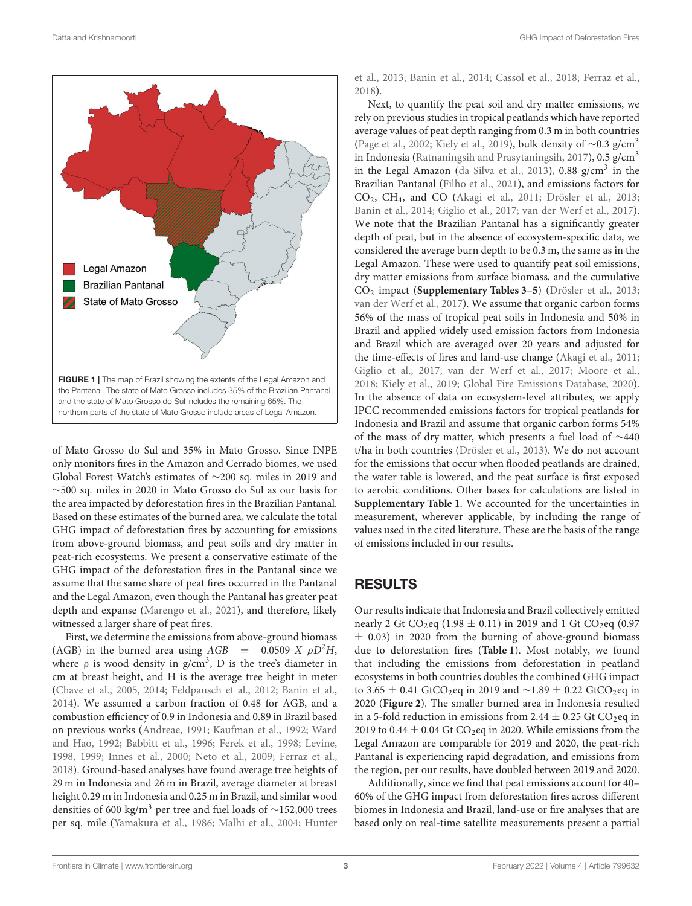

<span id="page-2-0"></span>of Mato Grosso do Sul and 35% in Mato Grosso. Since INPE only monitors fires in the Amazon and Cerrado biomes, we used Global Forest Watch's estimates of ∼200 sq. miles in 2019 and ∼500 sq. miles in 2020 in Mato Grosso do Sul as our basis for the area impacted by deforestation fires in the Brazilian Pantanal. Based on these estimates of the burned area, we calculate the total GHG impact of deforestation fires by accounting for emissions from above-ground biomass, and peat soils and dry matter in peat-rich ecosystems. We present a conservative estimate of the GHG impact of the deforestation fires in the Pantanal since we assume that the same share of peat fires occurred in the Pantanal and the Legal Amazon, even though the Pantanal has greater peat depth and expanse [\(Marengo et al., 2021\)](#page-7-2), and therefore, likely witnessed a larger share of peat fires.

First, we determine the emissions from above-ground biomass (AGB) in the burned area using  $AGB = 0.0509 X \rho D^2 H$ , where  $\rho$  is wood density in  $g/cm^3$ , D is the tree's diameter in cm at breast height, and H is the average tree height in meter [\(Chave et al., 2005,](#page-6-11) [2014;](#page-6-12) [Feldpausch et al., 2012;](#page-6-13) [Banin et al.,](#page-6-4) [2014\)](#page-6-4). We assumed a carbon fraction of 0.48 for AGB, and a combustion efficiency of 0.9 in Indonesia and 0.89 in Brazil based on previous works [\(Andreae, 1991;](#page-6-14) [Kaufman et al., 1992;](#page-7-20) Ward and Hao, [1992;](#page-7-21) [Babbitt et al., 1996;](#page-6-15) [Ferek et al., 1998;](#page-6-16) [Levine,](#page-7-22) [1998,](#page-7-22) [1999;](#page-7-10) [Innes et al., 2000;](#page-7-23) [Neto et al., 2009;](#page-7-11) [Ferraz et al.,](#page-6-8) [2018\)](#page-6-8). Ground-based analyses have found average tree heights of 29 m in Indonesia and 26 m in Brazil, average diameter at breast height 0.29 m in Indonesia and 0.25 m in Brazil, and similar wood densities of 600 kg/m<sup>3</sup> per tree and fuel loads of ∼152,000 trees per sq. mile [\(Yamakura et al., 1986;](#page-7-9) [Malhi et al., 2004;](#page-7-24) Hunter et al., [2013;](#page-7-25) [Banin et al., 2014;](#page-6-4) [Cassol et al., 2018;](#page-6-7) [Ferraz et al.,](#page-6-8) [2018\)](#page-6-8).

Next, to quantify the peat soil and dry matter emissions, we rely on previous studies in tropical peatlands which have reported average values of peat depth ranging from 0.3 m in both countries [\(Page et al., 2002;](#page-7-26) [Kiely et al., 2019\)](#page-7-27), bulk density of  $\sim$ 0.3 g/cm<sup>3</sup> in Indonesia [\(Ratnaningsih and Prasytaningsih, 2017\)](#page-7-12),  $0.5$  g/cm<sup>3</sup> in the Legal Amazon [\(da Silva et al., 2013\)](#page-6-6), 0.88 g/cm<sup>3</sup> in the Brazilian Pantanal [\(Filho et al., 2021\)](#page-6-10), and emissions factors for CO2, CH4, and CO [\(Akagi et al., 2011;](#page-6-2) [Drösler et al., 2013;](#page-6-3) [Banin et al., 2014;](#page-6-4) [Giglio et al., 2017;](#page-6-5) [van der Werf et al., 2017\)](#page-7-8). We note that the Brazilian Pantanal has a significantly greater depth of peat, but in the absence of ecosystem-specific data, we considered the average burn depth to be 0.3 m, the same as in the Legal Amazon. These were used to quantify peat soil emissions, dry matter emissions from surface biomass, and the cumulative CO<sup>2</sup> impact (**[Supplementary Tables 3](#page-6-17)**–**[5](#page-6-17)**) [\(Drösler et al., 2013;](#page-6-3) [van der Werf et al., 2017\)](#page-7-8). We assume that organic carbon forms 56% of the mass of tropical peat soils in Indonesia and 50% in Brazil and applied widely used emission factors from Indonesia and Brazil which are averaged over 20 years and adjusted for the time-effects of fires and land-use change [\(Akagi et al., 2011;](#page-6-2) [Giglio et al., 2017;](#page-6-5) [van der Werf et al., 2017;](#page-7-8) [Moore et al.,](#page-7-13) [2018;](#page-7-13) [Kiely et al., 2019;](#page-7-27) [Global Fire Emissions Database, 2020\)](#page-6-9). In the absence of data on ecosystem-level attributes, we apply IPCC recommended emissions factors for tropical peatlands for Indonesia and Brazil and assume that organic carbon forms 54% of the mass of dry matter, which presents a fuel load of ∼440 t/ha in both countries [\(Drösler et al., 2013\)](#page-6-3). We do not account for the emissions that occur when flooded peatlands are drained, the water table is lowered, and the peat surface is first exposed to aerobic conditions. Other bases for calculations are listed in **[Supplementary Table 1](#page-6-17)**. We accounted for the uncertainties in measurement, wherever applicable, by including the range of values used in the cited literature. These are the basis of the range of emissions included in our results.

### RESULTS

Our results indicate that Indonesia and Brazil collectively emitted nearly 2 Gt CO<sub>2</sub>eq (1.98  $\pm$  0.11) in 2019 and 1 Gt CO<sub>2</sub>eq (0.97  $\pm$  0.03) in 2020 from the burning of above-ground biomass due to deforestation fires (**[Table 1](#page-3-0)**). Most notably, we found that including the emissions from deforestation in peatland ecosystems in both countries doubles the combined GHG impact to 3.65 ± 0.41 GtCO2eq in 2019 and ∼1.89 ± 0.22 GtCO2eq in 2020 (**[Figure 2](#page-3-1)**). The smaller burned area in Indonesia resulted in a 5-fold reduction in emissions from 2.44  $\pm$  0.25 Gt CO<sub>2</sub>eq in 2019 to 0.44  $\pm$  0.04 Gt CO<sub>2</sub>eq in 2020. While emissions from the Legal Amazon are comparable for 2019 and 2020, the peat-rich Pantanal is experiencing rapid degradation, and emissions from the region, per our results, have doubled between 2019 and 2020.

Additionally, since we find that peat emissions account for 40– 60% of the GHG impact from deforestation fires across different biomes in Indonesia and Brazil, land-use or fire analyses that are based only on real-time satellite measurements present a partial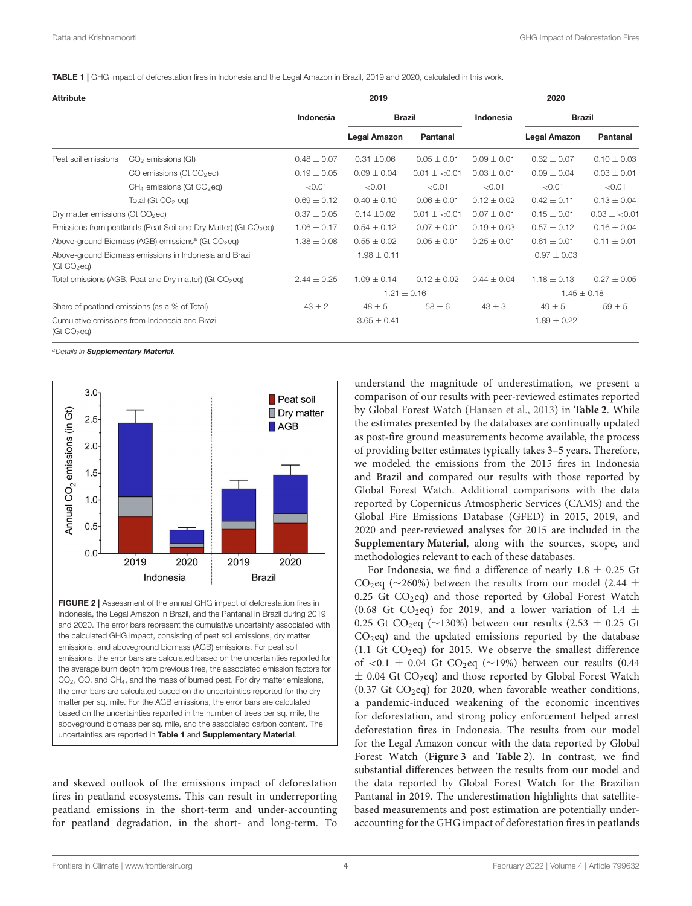<span id="page-3-0"></span>TABLE 1 | GHG impact of deforestation fires in Indonesia and the Legal Amazon in Brazil, 2019 and 2020, calculated in this work.

| <b>Attribute</b>                                                                  |                                                          | 2019            |                     |                 | 2020            |                 |                 |
|-----------------------------------------------------------------------------------|----------------------------------------------------------|-----------------|---------------------|-----------------|-----------------|-----------------|-----------------|
|                                                                                   |                                                          | Indonesia       | <b>Brazil</b>       |                 | Indonesia       | <b>Brazil</b>   |                 |
|                                                                                   |                                                          |                 | <b>Legal Amazon</b> | Pantanal        |                 | Legal Amazon    | Pantanal        |
| Peat soil emissions                                                               | $CO2$ emissions (Gt)                                     | $0.48 \pm 0.07$ | $0.31 \pm 0.06$     | $0.05 \pm 0.01$ | $0.09 \pm 0.01$ | $0.32 \pm 0.07$ | $0.10 \pm 0.03$ |
|                                                                                   | CO emissions (Gt CO <sub>2</sub> eq)                     | $0.19 \pm 0.05$ | $0.09 \pm 0.04$     | $0.01 \pm 0.01$ | $0.03 \pm 0.01$ | $0.09 \pm 0.04$ | $0.03 \pm 0.01$ |
|                                                                                   | $CH4$ emissions (Gt CO <sub>2</sub> eq)                  | < 0.01          | < 0.01              | < 0.01          | < 0.01          | < 0.01          | < 0.01          |
|                                                                                   | Total (Gt CO <sub>2</sub> eq)                            | $0.69 \pm 0.12$ | $0.40 \pm 0.10$     | $0.06 \pm 0.01$ | $0.12 \pm 0.02$ | $0.42 \pm 0.11$ | $0.13 \pm 0.04$ |
| Dry matter emissions (Gt CO <sub>2</sub> eq)                                      |                                                          | $0.37 \pm 0.05$ | $0.14 \pm 0.02$     | $0.01 \pm 0.01$ | $0.07 \pm 0.01$ | $0.15 \pm 0.01$ | $0.03 \pm 0.01$ |
| Emissions from peatlands (Peat Soil and Dry Matter) (Gt CO <sub>2</sub> eq)       |                                                          | $1.06 \pm 0.17$ | $0.54 \pm 0.12$     | $0.07 \pm 0.01$ | $0.19 \pm 0.03$ | $0.57 \pm 0.12$ | $0.16 \pm 0.04$ |
| Above-ground Biomass (AGB) emissions <sup>a</sup> (Gt CO <sub>2</sub> eg)         |                                                          | $1.38 \pm 0.08$ | $0.55 \pm 0.02$     | $0.05 \pm 0.01$ | $0.25 \pm 0.01$ | $0.61 \pm 0.01$ | $0.11 \pm 0.01$ |
| Above-ground Biomass emissions in Indonesia and Brazil<br>(Gt CO <sub>2</sub> eq) |                                                          |                 | $1.98 \pm 0.11$     |                 |                 | $0.97 \pm 0.03$ |                 |
|                                                                                   | Total emissions (AGB, Peat and Dry matter) (Gt $CO2$ eg) | $2.44 \pm 0.25$ | $1.09 \pm 0.14$     | $0.12 \pm 0.02$ | $0.44 \pm 0.04$ | $1.18 \pm 0.13$ | $0.27 \pm 0.05$ |
|                                                                                   |                                                          | $1.21 \pm 0.16$ |                     |                 |                 | $1.45 \pm 0.18$ |                 |
| Share of peatland emissions (as a % of Total)                                     |                                                          | $43 \pm 2$      | $48 \pm 5$          | $58 \pm 6$      | $43 \pm 3$      | $49 \pm 5$      | $59 \pm 5$      |
| Cumulative emissions from Indonesia and Brazil<br>(Gt CO <sub>2</sub> eq)         |                                                          |                 | $3.65 \pm 0.41$     |                 |                 | $1.89 \pm 0.22$ |                 |

*<sup>a</sup>Details in* [Supplementary Material](#page-6-17)*.*



<span id="page-3-1"></span>FIGURE 2 | Assessment of the annual GHG impact of deforestation fires in Indonesia, the Legal Amazon in Brazil, and the Pantanal in Brazil during 2019 and 2020. The error bars represent the cumulative uncertainty associated with the calculated GHG impact, consisting of peat soil emissions, dry matter emissions, and aboveground biomass (AGB) emissions. For peat soil emissions, the error bars are calculated based on the uncertainties reported for the average burn depth from previous fires, the associated emission factors for  $CO<sub>2</sub>$ , CO, and CH<sub>4</sub>, and the mass of burned peat. For dry matter emissions, the error bars are calculated based on the uncertainties reported for the dry matter per sq. mile. For the AGB emissions, the error bars are calculated based on the uncertainties reported in the number of trees per sq. mile, the aboveground biomass per sq. mile, and the associated carbon content. The uncertainties are reported in [Table 1](#page-3-0) and [Supplementary Material](#page-6-17).

and skewed outlook of the emissions impact of deforestation fires in peatland ecosystems. This can result in underreporting peatland emissions in the short-term and under-accounting for peatland degradation, in the short- and long-term. To understand the magnitude of underestimation, we present a comparison of our results with peer-reviewed estimates reported by Global Forest Watch [\(Hansen et al., 2013\)](#page-7-28) in **[Table 2](#page-4-0)**. While the estimates presented by the databases are continually updated as post-fire ground measurements become available, the process of providing better estimates typically takes 3–5 years. Therefore, we modeled the emissions from the 2015 fires in Indonesia and Brazil and compared our results with those reported by Global Forest Watch. Additional comparisons with the data reported by Copernicus Atmospheric Services (CAMS) and the Global Fire Emissions Database (GFED) in 2015, 2019, and 2020 and peer-reviewed analyses for 2015 are included in the **[Supplementary Material](#page-6-17)**, along with the sources, scope, and methodologies relevant to each of these databases.

For Indonesia, we find a difference of nearly  $1.8 \pm 0.25$  Gt CO<sub>2</sub>eq ( $\sim$ 260%) between the results from our model (2.44 ± 0.25 Gt  $CO<sub>2</sub>$ eq) and those reported by Global Forest Watch (0.68 Gt CO<sub>2</sub>eq) for 2019, and a lower variation of 1.4  $\pm$ 0.25 Gt CO<sub>2</sub>eq (∼130%) between our results (2.53  $\pm$  0.25 Gt  $CO<sub>2</sub>$ eq) and the updated emissions reported by the database (1.1 Gt  $CO<sub>2</sub>$ eq) for 2015. We observe the smallest difference of <0.1 ± 0.04 Gt CO2eq (∼19%) between our results (0.44  $\pm$  0.04 Gt CO<sub>2</sub>eq) and those reported by Global Forest Watch (0.37 Gt  $CO<sub>2</sub>$ eq) for 2020, when favorable weather conditions, a pandemic-induced weakening of the economic incentives for deforestation, and strong policy enforcement helped arrest deforestation fires in Indonesia. The results from our model for the Legal Amazon concur with the data reported by Global Forest Watch (**[Figure 3](#page-5-0)** and **[Table 2](#page-4-0)**). In contrast, we find substantial differences between the results from our model and the data reported by Global Forest Watch for the Brazilian Pantanal in 2019. The underestimation highlights that satellitebased measurements and post estimation are potentially underaccounting for the GHG impact of deforestation fires in peatlands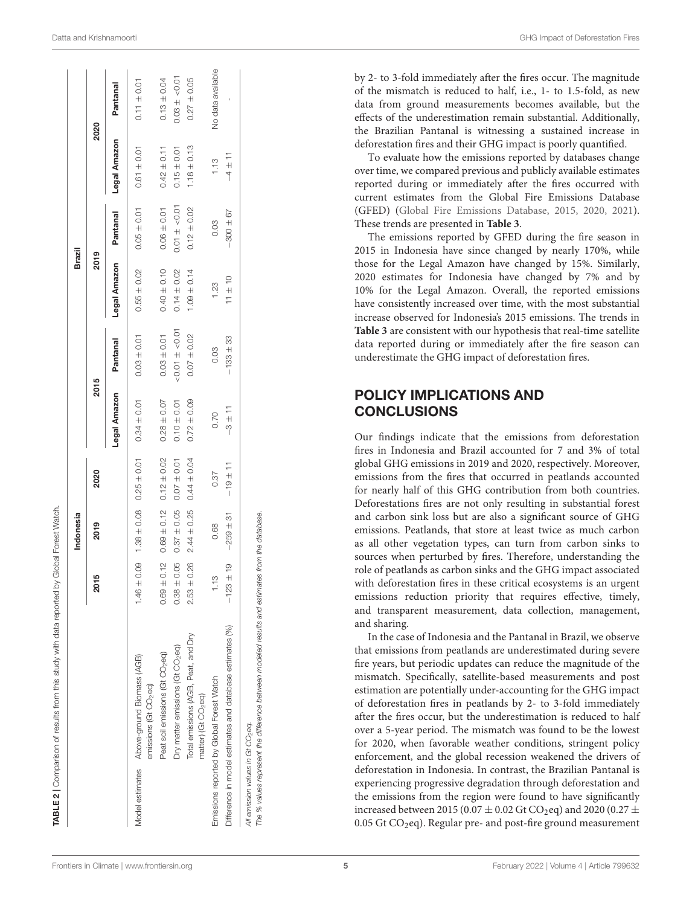|                                                                                 |                 | Indonesia                                       |                 |                 |                   |                 | <b>Brazil</b>   |                 |                   |
|---------------------------------------------------------------------------------|-----------------|-------------------------------------------------|-----------------|-----------------|-------------------|-----------------|-----------------|-----------------|-------------------|
|                                                                                 | 2015            | 2019                                            | 2020            |                 | 2015              | 2019            |                 |                 | 2020              |
|                                                                                 |                 |                                                 |                 | Legal Amazon    | Pantanal          | Legal Amazon    | Pantanal        | Legal Amazon    | Pantanal          |
| Model estimates Above-ground Biomass (AGB)<br>emissions (Gt CO <sub>2</sub> eq) |                 | $1.46 \pm 0.09$ $1.38 \pm 0.08$ $0.25 \pm 0.01$ |                 | $0.34 \pm 0.01$ | $0.03 \pm 0.01$   | $0.55 \pm 0.02$ | $0.05 \pm 0.01$ | $0.61 + 0.01$   | $0.11 \pm 0.01$   |
| Peat soil emissions (Gt CO <sub>2</sub> eq)                                     | $0.69 \pm 0.12$ | $0.69 \pm 0.12$                                 | $0.12 \pm 0.02$ | $0.28 \pm 0.07$ | $0.03 \pm 0.01$   | $0.40 \pm 0.10$ | $0.06 \pm 0.01$ | $0.42 \pm 0.11$ | $0.13 \pm 0.04$   |
| Dry matter emissions (Gt CO <sub>2</sub> eq)                                    | $0.38 + 0.05$   | $0.37 \pm 0.05$                                 | $0.07 \pm 0.01$ | $0.10 \pm 0.01$ | $-0.01 \pm -0.01$ | $0.14 \pm 0.02$ | $0.01 \pm 0.01$ | $0.15 \pm 0.01$ | $0.03 \pm 0.01$   |
| Total emissions (AGB, Peat, and Dry<br>matter) (Gt CO <sub>2</sub> eq)          | $2.53 \pm 0.26$ | $2.44 \pm 0.25$                                 | $0.44 \pm 0.04$ | $0.72 \pm 0.09$ | $0.07 \pm 0.02$   | $1.09 \pm 0.14$ | $0.12 \pm 0.02$ | $1.18 \pm 0.13$ | $0.27 \pm 0.05$   |
| Emissions reported by Global Forest Watch                                       | 1.13            | 0.68                                            | 0.37            | 0.70            | 0.03              | 1.23            | 0.03            | 1.13            | No data available |
| Difference in model estimates and database estimates (%)                        |                 | $-123 \pm 19$ $-259 \pm 31$                     | $-19 \pm 11$    | $-3 \pm 11$     | $-133 \pm 33$     | $11 \pm 10$     | $-300 \pm 67$   | $-4 \pm 11$     |                   |

by 2- to 3-fold immediately after the fires occur. The magnitud e of the mismatch is reduced to half, i.e., 1- to 1.5-fold, as ne w data from ground measurements becomes available, but the effects of the underestimation remain substantial. Additionally, the Brazilian Pantanal is witnessing a sustained increase i n deforestation fires and their GHG impact is poorly quantified.

To evaluate how the emissions reported by databases change over time, we compared previous and publicly available estimates reported during or immediately after the fires occurred with current estimates from the Global Fire Emissions Database (GFED) [\(Global Fire Emissions Database, 2015,](#page-6-18) [2020,](#page-6-9) [2021\)](#page-6-19). These trends are presented in **[Table 3](#page-5-1)** .

The emissions reported by GFED during the fire season in 2015 in Indonesia have since changed by nearly 170%, while those for the Legal Amazon have changed by 15%. Similarly, 2020 estimates for Indonesia have changed by 7% and by 10% for the Legal Amazon. Overall, the reported emissions have consistently increased over time, with the most substantial increase observed for Indonesia's 2015 emissions. The trends in **[Table 3](#page-5-1)** are consistent with our hypothesis that real-time satellite data reported during or immediately after the fire season can underestimate the GHG impact of deforestation fires.

## POLICY IMPLICATIONS AND **CONCLUSIONS**

Our findings indicate that the emissions from deforestation fires in Indonesia and Brazil accounted for 7 and 3% of total global GHG emissions in 2019 and 2020, respectively. Moreover, emissions from the fires that occurred in peatlands accounted for nearly half of this GHG contribution from both countries. Deforestations fires are not only resulting in substantial forest and carbon sink loss but are also a significant source of GHG emissions. Peatlands, that store at least twice as much carbon as all other vegetation types, can turn from carbon sinks to sources when perturbed by fires. Therefore, understanding th e role of peatlands as carbon sinks and the GHG impact associated with deforestation fires in these critical ecosystems is an urgent emissions reduction priority that requires effective, timely , and transparent measurement, data collection, management, and sharing.

<span id="page-4-0"></span>In the case of Indonesia and the Pantanal in Brazil, we observ e that emissions from peatlands are underestimated during severe fire years, but periodic updates can reduce the magnitude of the mismatch. Specifically, satellite-based measurements and post estimation are potentially under-accounting for the GHG impact of deforestation fires in peatlands by 2- to 3-fold immediatel y after the fires occur, but the underestimation is reduced to half over a 5-year period. The mismatch was found to be the lowest for 2020, when favorable weather conditions, stringent policy enforcement, and the global recession weakened the drivers of deforestation in Indonesia. In contrast, the Brazilian Pantanal is experiencing progressive degradation through deforestation and the emissions from the region were found to have significantl y increased between 2015 (0.07  $\pm$  0.02 Gt CO<sub>2</sub>eq) and 2020 (0.27  $\pm$ 0.05 Gt CO <sup>2</sup>eq). Regular pre- and post-fire ground measurement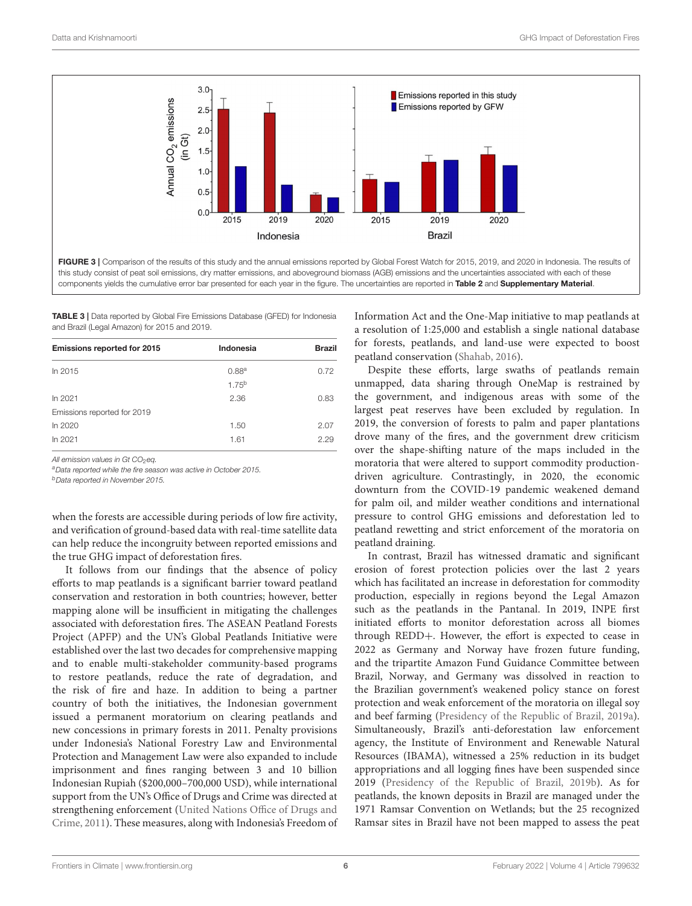

<span id="page-5-1"></span><span id="page-5-0"></span>TABLE 3 | Data reported by Global Fire Emissions Database (GFED) for Indonesia and Brazil (Legal Amazon) for 2015 and 2019.

| Emissions reported for 2015 | Indonesia         | <b>Brazil</b> |
|-----------------------------|-------------------|---------------|
| In 2015                     | 0.88 <sup>a</sup> | 0.72          |
|                             | $1.75^{b}$        |               |
| In 2021                     | 2.36              | 0.83          |
| Emissions reported for 2019 |                   |               |
| ln 2020                     | 1.50              | 2.07          |
| In 2021                     | 1.61              | 2.29          |

*All emission values in Gt CO<sub>2</sub>eq.* 

*<sup>a</sup>Data reported while the fire season was active in October 2015.*

*<sup>b</sup>Data reported in November 2015.*

when the forests are accessible during periods of low fire activity, and verification of ground-based data with real-time satellite data can help reduce the incongruity between reported emissions and the true GHG impact of deforestation fires.

It follows from our findings that the absence of policy efforts to map peatlands is a significant barrier toward peatland conservation and restoration in both countries; however, better mapping alone will be insufficient in mitigating the challenges associated with deforestation fires. The ASEAN Peatland Forests Project (APFP) and the UN's Global Peatlands Initiative were established over the last two decades for comprehensive mapping and to enable multi-stakeholder community-based programs to restore peatlands, reduce the rate of degradation, and the risk of fire and haze. In addition to being a partner country of both the initiatives, the Indonesian government issued a permanent moratorium on clearing peatlands and new concessions in primary forests in 2011. Penalty provisions under Indonesia's National Forestry Law and Environmental Protection and Management Law were also expanded to include imprisonment and fines ranging between 3 and 10 billion Indonesian Rupiah (\$200,000–700,000 USD), while international support from the UN's Office of Drugs and Crime was directed at strengthening enforcement (United Nations Office of Drugs and Crime, [2011\)](#page-7-29). These measures, along with Indonesia's Freedom of

Information Act and the One-Map initiative to map peatlands at a resolution of 1:25,000 and establish a single national database for forests, peatlands, and land-use were expected to boost peatland conservation [\(Shahab, 2016\)](#page-7-30).

Despite these efforts, large swaths of peatlands remain unmapped, data sharing through OneMap is restrained by the government, and indigenous areas with some of the largest peat reserves have been excluded by regulation. In 2019, the conversion of forests to palm and paper plantations drove many of the fires, and the government drew criticism over the shape-shifting nature of the maps included in the moratoria that were altered to support commodity productiondriven agriculture. Contrastingly, in 2020, the economic downturn from the COVID-19 pandemic weakened demand for palm oil, and milder weather conditions and international pressure to control GHG emissions and deforestation led to peatland rewetting and strict enforcement of the moratoria on peatland draining.

In contrast, Brazil has witnessed dramatic and significant erosion of forest protection policies over the last 2 years which has facilitated an increase in deforestation for commodity production, especially in regions beyond the Legal Amazon such as the peatlands in the Pantanal. In 2019, INPE first initiated efforts to monitor deforestation across all biomes through REDD+. However, the effort is expected to cease in 2022 as Germany and Norway have frozen future funding, and the tripartite Amazon Fund Guidance Committee between Brazil, Norway, and Germany was dissolved in reaction to the Brazilian government's weakened policy stance on forest protection and weak enforcement of the moratoria on illegal soy and beef farming [\(Presidency of the Republic of Brazil, 2019a\)](#page-7-31). Simultaneously, Brazil's anti-deforestation law enforcement agency, the Institute of Environment and Renewable Natural Resources (IBAMA), witnessed a 25% reduction in its budget appropriations and all logging fines have been suspended since 2019 [\(Presidency of the Republic of Brazil, 2019b\)](#page-7-32). As for peatlands, the known deposits in Brazil are managed under the 1971 Ramsar Convention on Wetlands; but the 25 recognized Ramsar sites in Brazil have not been mapped to assess the peat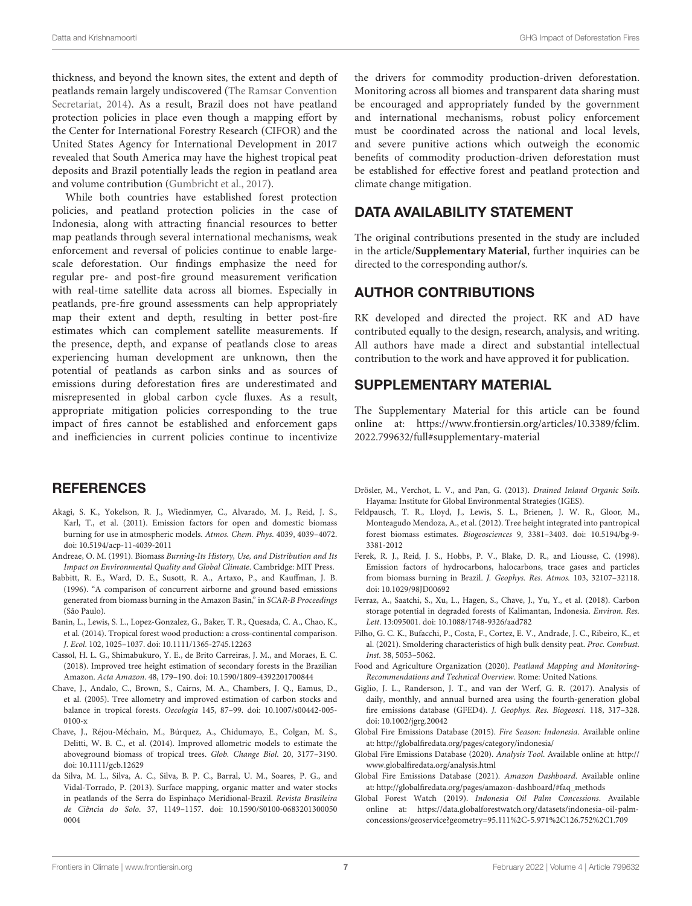thickness, and beyond the known sites, the extent and depth of peatlands remain largely undiscovered (The Ramsar Convention Secretariat, [2014\)](#page-7-33). As a result, Brazil does not have peatland protection policies in place even though a mapping effort by the Center for International Forestry Research (CIFOR) and the United States Agency for International Development in 2017 revealed that South America may have the highest tropical peat deposits and Brazil potentially leads the region in peatland area and volume contribution [\(Gumbricht et al., 2017\)](#page-7-34).

While both countries have established forest protection policies, and peatland protection policies in the case of Indonesia, along with attracting financial resources to better map peatlands through several international mechanisms, weak enforcement and reversal of policies continue to enable largescale deforestation. Our findings emphasize the need for regular pre- and post-fire ground measurement verification with real-time satellite data across all biomes. Especially in peatlands, pre-fire ground assessments can help appropriately map their extent and depth, resulting in better post-fire estimates which can complement satellite measurements. If the presence, depth, and expanse of peatlands close to areas experiencing human development are unknown, then the potential of peatlands as carbon sinks and as sources of emissions during deforestation fires are underestimated and misrepresented in global carbon cycle fluxes. As a result, appropriate mitigation policies corresponding to the true impact of fires cannot be established and enforcement gaps and inefficiencies in current policies continue to incentivize

#### **REFERENCES**

- <span id="page-6-2"></span>Akagi, S. K., Yokelson, R. J., Wiedinmyer, C., Alvarado, M. J., Reid, J. S., Karl, T., et al. (2011). Emission factors for open and domestic biomass burning for use in atmospheric models. Atmos. Chem. Phys. 4039, 4039–4072. doi: [10.5194/acp-11-4039-2011](https://doi.org/10.5194/acp-11-4039-2011)
- <span id="page-6-14"></span>Andreae, O. M. (1991). Biomass Burning-Its History, Use, and Distribution and Its Impact on Environmental Quality and Global Climate. Cambridge: MIT Press.
- <span id="page-6-15"></span>Babbitt, R. E., Ward, D. E., Susott, R. A., Artaxo, P., and Kauffman, J. B. (1996). "A comparison of concurrent airborne and ground based emissions generated from biomass burning in the Amazon Basin," in SCAR-B Proceedings (São Paulo).
- <span id="page-6-4"></span>Banin, L., Lewis, S. L., Lopez-Gonzalez, G., Baker, T. R., Quesada, C. A., Chao, K., et al. (2014). Tropical forest wood production: a cross-continental comparison. J. Ecol. 102, 1025–1037. doi: [10.1111/1365-2745.12263](https://doi.org/10.1111/1365-2745.12263)
- <span id="page-6-7"></span>Cassol, H. L. G., Shimabukuro, Y. E., de Brito Carreiras, J. M., and Moraes, E. C. (2018). Improved tree height estimation of secondary forests in the Brazilian Amazon. Acta Amazon. 48, 179–190. doi: [10.1590/1809-4392201700844](https://doi.org/10.1590/1809-4392201700844)
- <span id="page-6-11"></span>Chave, J., Andalo, C., Brown, S., Cairns, M. A., Chambers, J. Q., Eamus, D., et al. (2005). Tree allometry and improved estimation of carbon stocks and balance in tropical forests. Oecologia [145, 87–99. doi: 10.1007/s00442-005-](https://doi.org/10.1007/s00442-005-0100-x) 0100-x
- <span id="page-6-12"></span>Chave, J., Réjou-Méchain, M., Búrquez, A., Chidumayo, E., Colgan, M. S., Delitti, W. B. C., et al. (2014). Improved allometric models to estimate the aboveground biomass of tropical trees. Glob. Change Biol. 20, 3177–3190. doi: [10.1111/gcb.12629](https://doi.org/10.1111/gcb.12629)
- <span id="page-6-6"></span>da Silva, M. L., Silva, A. C., Silva, B. P. C., Barral, U. M., Soares, P. G., and Vidal-Torrado, P. (2013). Surface mapping, organic matter and water stocks in peatlands of the Serra do Espinhaço Meridional-Brazil. Revista Brasileira de Ciência do Solo[. 37, 1149–1157. doi: 10.1590/S0100-0683201300050](https://doi.org/10.1590/S0100-06832013000500004) 0004

the drivers for commodity production-driven deforestation. Monitoring across all biomes and transparent data sharing must be encouraged and appropriately funded by the government and international mechanisms, robust policy enforcement must be coordinated across the national and local levels, and severe punitive actions which outweigh the economic benefits of commodity production-driven deforestation must be established for effective forest and peatland protection and climate change mitigation.

#### DATA AVAILABILITY STATEMENT

The original contributions presented in the study are included in the article/**[Supplementary Material](#page-6-17)**, further inquiries can be directed to the corresponding author/s.

#### AUTHOR CONTRIBUTIONS

RK developed and directed the project. RK and AD have contributed equally to the design, research, analysis, and writing. All authors have made a direct and substantial intellectual contribution to the work and have approved it for publication.

#### SUPPLEMENTARY MATERIAL

<span id="page-6-17"></span>The Supplementary Material for this article can be found [online at: https://www.frontiersin.org/articles/10.3389/fclim.](https://www.frontiersin.org/articles/10.3389/fclim.2022.799632/full#supplementary-material) 2022.799632/full#supplementary-material

- <span id="page-6-3"></span>Drösler, M., Verchot, L. V., and Pan, G. (2013). Drained Inland Organic Soils. Hayama: Institute for Global Environmental Strategies (IGES).
- <span id="page-6-13"></span>Feldpausch, T. R., Lloyd, J., Lewis, S. L., Brienen, J. W. R., Gloor, M., Monteagudo Mendoza, A., et al. (2012). Tree height integrated into pantropical forest biomass estimates. Biogeosciences [9, 3381–3403. doi: 10.5194/bg-9-](https://doi.org/10.5194/bg-9-3381-2012) 3381-2012
- <span id="page-6-16"></span>Ferek, R. J., Reid, J. S., Hobbs, P. V., Blake, D. R., and Liousse, C. (1998). Emission factors of hydrocarbons, halocarbons, trace gases and particles from biomass burning in Brazil. J. Geophys. Res. Atmos. 103, 32107–32118. doi: [10.1029/98JD00692](https://doi.org/10.1029/98JD00692)
- <span id="page-6-8"></span>Ferraz, A., Saatchi, S., Xu, L., Hagen, S., Chave, J., Yu, Y., et al. (2018). Carbon storage potential in degraded forests of Kalimantan, Indonesia. Environ. Res. Lett. 13:095001. doi: [10.1088/1748-9326/aad782](https://doi.org/10.1088/1748-9326/aad782)
- <span id="page-6-10"></span>Filho, G. C. K., Bufacchi, P., Costa, F., Cortez, E. V., Andrade, J. C., Ribeiro, K., et al. (2021). Smoldering characteristics of high bulk density peat. Proc. Combust. Inst. 38, 5053–5062.
- <span id="page-6-1"></span>Food and Agriculture Organization (2020). Peatland Mapping and Monitoring-Recommendations and Technical Overview. Rome: United Nations.
- <span id="page-6-5"></span>Giglio, J. L., Randerson, J. T., and van der Werf, G. R. (2017). Analysis of daily, monthly, and annual burned area using the fourth-generation global fire emissions database (GFED4). J. Geophys. Res. Biogeosci. 118, 317–328. doi: [10.1002/jgrg.20042](https://doi.org/10.1002/jgrg.20042)
- <span id="page-6-18"></span>Global Fire Emissions Database (2015). Fire Season: Indonesia. Available online at:<http://globalfiredata.org/pages/category/indonesia/>
- <span id="page-6-9"></span>Global Fire Emissions Database (2020). Analysis Tool. Available online at: [http://](http://www.globalfiredata.org/analysis.html) [www.globalfiredata.org/analysis.html](http://www.globalfiredata.org/analysis.html)
- <span id="page-6-19"></span>Global Fire Emissions Database (2021). Amazon Dashboard. Available online at: [http://globalfiredata.org/pages/amazon-dashboard/#faq\\_methods](http://globalfiredata.org/pages/amazon-dashboard/#faq_methods)
- <span id="page-6-0"></span>Global Forest Watch (2019). Indonesia Oil Palm Concessions. Available online at: [https://data.globalforestwatch.org/datasets/indonesia-oil-palm](https://data.globalforestwatch.org/datasets/indonesia-oil-palm-concessions/geoservice?geometry=95.111%2C-5.971%2C126.752%2C1.709)[concessions/geoservice?geometry=95.111%2C-5.971%2C126.752%2C1.709](https://data.globalforestwatch.org/datasets/indonesia-oil-palm-concessions/geoservice?geometry=95.111%2C-5.971%2C126.752%2C1.709)